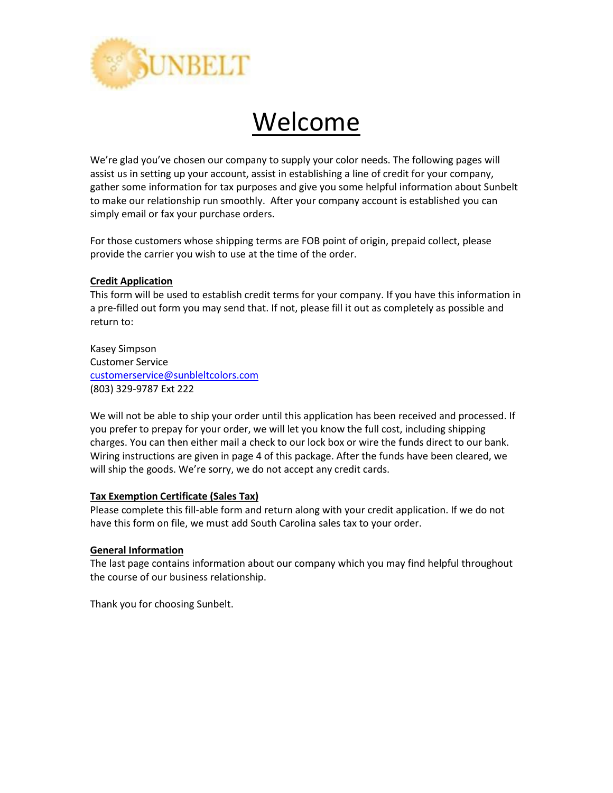

# Welcome

We're glad you've chosen our company to supply your color needs. The following pages will assist us in setting up your account, assist in establishing a line of credit for your company, gather some information for tax purposes and give you some helpful information about Sunbelt to make our relationship run smoothly. After your company account is established you can simply email or fax your purchase orders.

For those customers whose shipping terms are FOB point of origin, prepaid collect, please provide the carrier you wish to use at the time of the order.

# **Credit Application**

This form will be used to establish credit terms for your company. If you have this information in a pre-filled out form you may send that. If not, please fill it out as completely as possible and return to:

Kasey Simpson Customer Service [customerservice@sunbleltcolors.com](mailto:customerservice@sunbleltcolors.com) (803) 329-9787 Ext 222

We will not be able to ship your order until this application has been received and processed. If you prefer to prepay for your order, we will let you know the full cost, including shipping charges. You can then either mail a check to our lock box or wire the funds direct to our bank. Wiring instructions are given in page 4 of this package. After the funds have been cleared, we will ship the goods. We're sorry, we do not accept any credit cards.

# **Tax Exemption Certificate (Sales Tax)**

Please complete this fill-able form and return along with your credit application. If we do not have this form on file, we must add South Carolina sales tax to your order.

### **General Information**

The last page contains information about our company which you may find helpful throughout the course of our business relationship.

Thank you for choosing Sunbelt.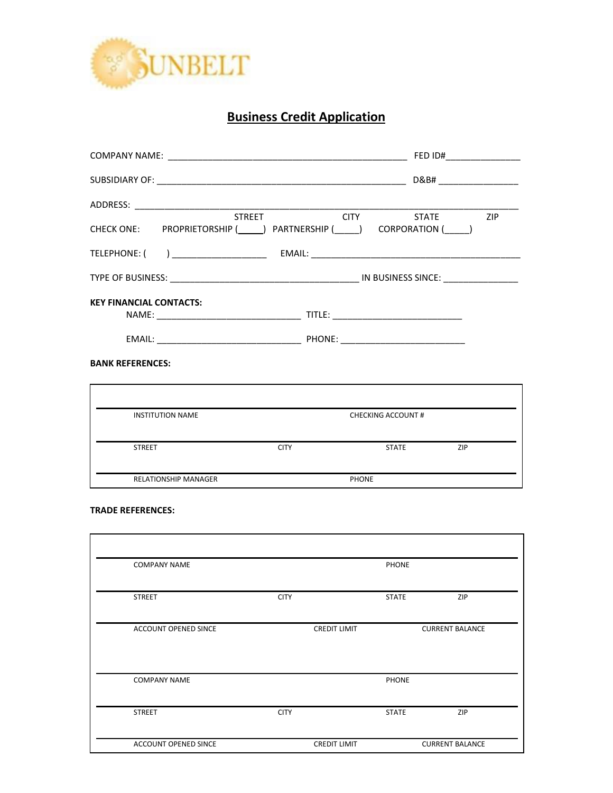

# **Business Credit Application**

|                                          |                                                                                                     | FED ID#             |  |  |  |
|------------------------------------------|-----------------------------------------------------------------------------------------------------|---------------------|--|--|--|
|                                          |                                                                                                     |                     |  |  |  |
|                                          |                                                                                                     |                     |  |  |  |
|                                          | STREET CITY STATE ZIP<br>CHECK ONE: PROPRIETORSHIP (______) PARTNERSHIP (_____) CORPORATION (_____) |                     |  |  |  |
|                                          |                                                                                                     |                     |  |  |  |
|                                          |                                                                                                     |                     |  |  |  |
| <b>KEY FINANCIAL CONTACTS:</b>           |                                                                                                     |                     |  |  |  |
|                                          |                                                                                                     |                     |  |  |  |
|                                          |                                                                                                     |                     |  |  |  |
|                                          |                                                                                                     |                     |  |  |  |
| <b>INSTITUTION NAME</b>                  | <b>CHECKING ACCOUNT#</b>                                                                            |                     |  |  |  |
| <b>BANK REFERENCES:</b><br><b>STREET</b> | <b>CITY</b>                                                                                         | <b>STATE</b><br>ZIP |  |  |  |

### **TRADE REFERENCES:**

| <b>COMPANY NAME</b>  |             |                     | PHONE        |                        |
|----------------------|-------------|---------------------|--------------|------------------------|
| <b>STREET</b>        | <b>CITY</b> |                     | <b>STATE</b> | ZIP                    |
| ACCOUNT OPENED SINCE |             | <b>CREDIT LIMIT</b> |              | <b>CURRENT BALANCE</b> |
| <b>COMPANY NAME</b>  |             |                     | PHONE        |                        |
| <b>STREET</b>        | <b>CITY</b> |                     | <b>STATE</b> | ZIP                    |
| ACCOUNT OPENED SINCE |             | <b>CREDIT LIMIT</b> |              | <b>CURRENT BALANCE</b> |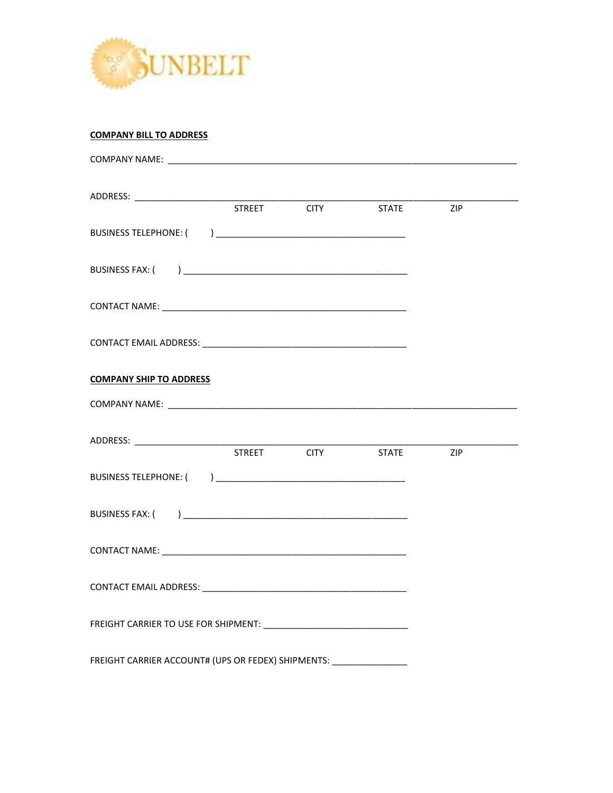

# **COMPANY BILL TO ADDRESS**

|                                                                      |             | <b>STATE</b> | <b>Example 21P</b> |  |
|----------------------------------------------------------------------|-------------|--------------|--------------------|--|
|                                                                      |             |              |                    |  |
|                                                                      |             |              |                    |  |
|                                                                      |             |              |                    |  |
|                                                                      |             |              |                    |  |
| <b>COMPANY SHIP TO ADDRESS</b>                                       |             |              |                    |  |
|                                                                      |             |              |                    |  |
|                                                                      |             |              |                    |  |
|                                                                      | STREET CITY | <b>STATE</b> | <b>Example 21P</b> |  |
|                                                                      |             |              |                    |  |
|                                                                      |             |              |                    |  |
|                                                                      |             |              |                    |  |
|                                                                      |             |              |                    |  |
|                                                                      |             |              |                    |  |
| FREIGHT CARRIER ACCOUNT# (UPS OR FEDEX) SHIPMENTS: _________________ |             |              |                    |  |